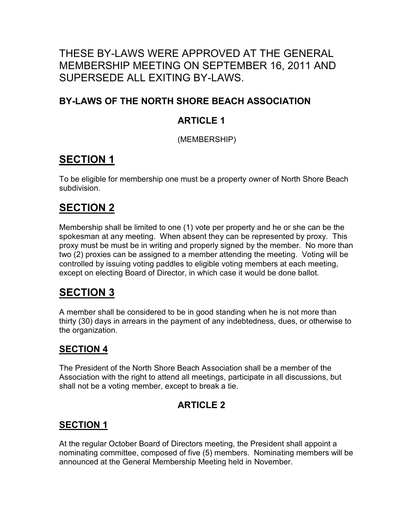## THESE BY-LAWS WERE APPROVED AT THE GENERAL MEMBERSHIP MEETING ON SEPTEMBER 16, 2011 AND SUPERSEDE ALL EXITING BY-LAWS.

#### **BY-LAWS OF THE NORTH SHORE BEACH ASSOCIATION**

#### **ARTICLE 1**

(MEMBERSHIP)

# **SECTION 1**

To be eligible for membership one must be a property owner of North Shore Beach subdivision.

# **SECTION 2**

Membership shall be limited to one (1) vote per property and he or she can be the spokesman at any meeting. When absent they can be represented by proxy. This proxy must be must be in writing and properly signed by the member. No more than two (2) proxies can be assigned to a member attending the meeting. Voting will be controlled by issuing voting paddles to eligible voting members at each meeting, except on electing Board of Director, in which case it would be done ballot.

## **SECTION 3**

A member shall be considered to be in good standing when he is not more than thirty (30) days in arrears in the payment of any indebtedness, dues, or otherwise to the organization.

#### **SECTION 4**

The President of the North Shore Beach Association shall be a member of the Association with the right to attend all meetings, participate in all discussions, but shall not be a voting member, except to break a tie.

### **ARTICLE 2**

#### **SECTION 1**

At the regular October Board of Directors meeting, the President shall appoint a nominating committee, composed of five (5) members. Nominating members will be announced at the General Membership Meeting held in November.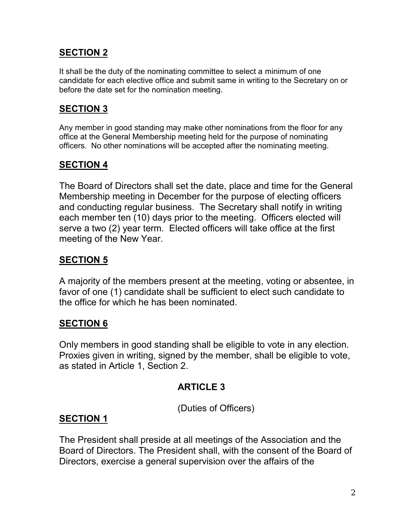#### **SECTION 2**

It shall be the duty of the nominating committee to select a minimum of one candidate for each elective office and submit same in writing to the Secretary on or before the date set for the nomination meeting.

#### **SECTION 3**

Any member in good standing may make other nominations from the floor for any office at the General Membership meeting held for the purpose of nominating officers. No other nominations will be accepted after the nominating meeting.

#### **SECTION 4**

The Board of Directors shall set the date, place and time for the General Membership meeting in December for the purpose of electing officers and conducting regular business. The Secretary shall notify in writing each member ten (10) days prior to the meeting. Officers elected will serve a two (2) year term. Elected officers will take office at the first meeting of the New Year.

## **SECTION 5**

A majority of the members present at the meeting, voting or absentee, in favor of one (1) candidate shall be sufficient to elect such candidate to the office for which he has been nominated.

### **SECTION 6**

Only members in good standing shall be eligible to vote in any election. Proxies given in writing, signed by the member, shall be eligible to vote, as stated in Article 1, Section 2.

### **ARTICLE 3**

(Duties of Officers)

### **SECTION 1**

The President shall preside at all meetings of the Association and the Board of Directors. The President shall, with the consent of the Board of Directors, exercise a general supervision over the affairs of the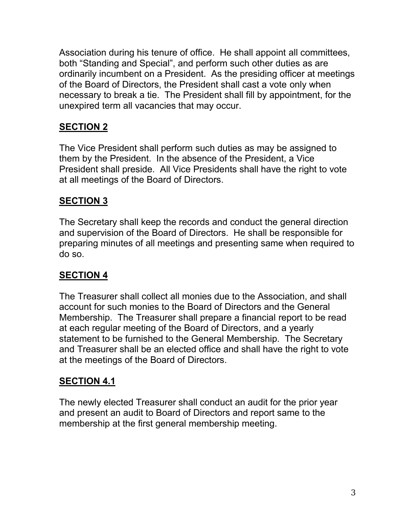Association during his tenure of office. He shall appoint all committees, both "Standing and Special", and perform such other duties as are ordinarily incumbent on a President. As the presiding officer at meetings of the Board of Directors, the President shall cast a vote only when necessary to break a tie. The President shall fill by appointment, for the unexpired term all vacancies that may occur.

## **SECTION 2**

The Vice President shall perform such duties as may be assigned to them by the President. In the absence of the President, a Vice President shall preside. All Vice Presidents shall have the right to vote at all meetings of the Board of Directors.

## **SECTION 3**

The Secretary shall keep the records and conduct the general direction and supervision of the Board of Directors. He shall be responsible for preparing minutes of all meetings and presenting same when required to do so.

## **SECTION 4**

The Treasurer shall collect all monies due to the Association, and shall account for such monies to the Board of Directors and the General Membership. The Treasurer shall prepare a financial report to be read at each regular meeting of the Board of Directors, and a yearly statement to be furnished to the General Membership. The Secretary and Treasurer shall be an elected office and shall have the right to vote at the meetings of the Board of Directors.

## **SECTION 4.1**

The newly elected Treasurer shall conduct an audit for the prior year and present an audit to Board of Directors and report same to the membership at the first general membership meeting.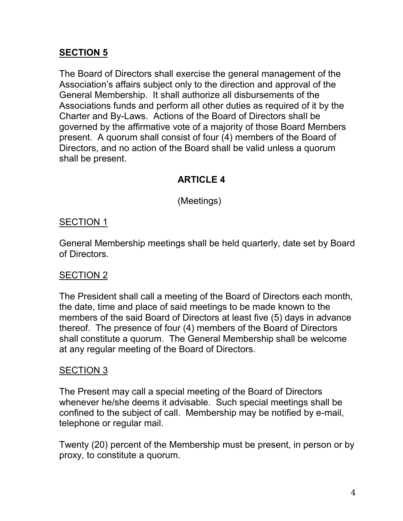#### **SECTION 5**

The Board of Directors shall exercise the general management of the Association's affairs subject only to the direction and approval of the General Membership. It shall authorize all disbursements of the Associations funds and perform all other duties as required of it by the Charter and By-Laws. Actions of the Board of Directors shall be governed by the affirmative vote of a majority of those Board Members present. A quorum shall consist of four (4) members of the Board of Directors, and no action of the Board shall be valid unless a quorum shall be present.

### **ARTICLE 4**

(Meetings)

#### SECTION 1

General Membership meetings shall be held quarterly, date set by Board of Directors.

#### SECTION 2

The President shall call a meeting of the Board of Directors each month, the date, time and place of said meetings to be made known to the members of the said Board of Directors at least five (5) days in advance thereof. The presence of four (4) members of the Board of Directors shall constitute a quorum. The General Membership shall be welcome at any regular meeting of the Board of Directors.

#### SECTION 3

The Present may call a special meeting of the Board of Directors whenever he/she deems it advisable. Such special meetings shall be confined to the subject of call. Membership may be notified by e-mail, telephone or regular mail.

Twenty (20) percent of the Membership must be present, in person or by proxy, to constitute a quorum.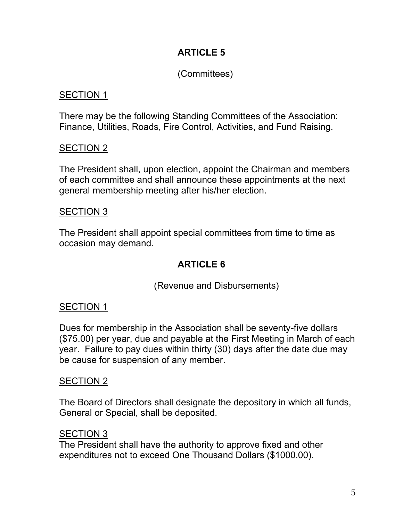## **ARTICLE 5**

## (Committees)

#### SECTION 1

There may be the following Standing Committees of the Association: Finance, Utilities, Roads, Fire Control, Activities, and Fund Raising.

#### SECTION 2

The President shall, upon election, appoint the Chairman and members of each committee and shall announce these appointments at the next general membership meeting after his/her election.

#### SECTION 3

The President shall appoint special committees from time to time as occasion may demand.

## **ARTICLE 6**

(Revenue and Disbursements)

### SECTION 1

Dues for membership in the Association shall be seventy-five dollars (\$75.00) per year, due and payable at the First Meeting in March of each year. Failure to pay dues within thirty (30) days after the date due may be cause for suspension of any member.

#### SECTION 2

The Board of Directors shall designate the depository in which all funds, General or Special, shall be deposited.

#### SECTION 3

The President shall have the authority to approve fixed and other expenditures not to exceed One Thousand Dollars (\$1000.00).